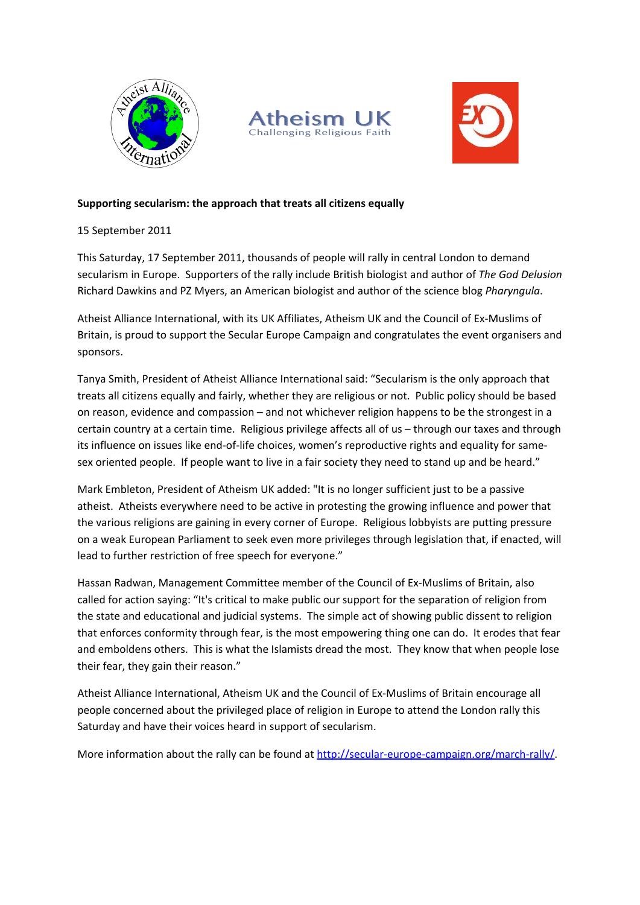





# **Supporting secularism: the approach that treats all citizens equally**

15 September 2011

This Saturday, 17 September 2011, thousands of people will rally in central London to demand secularism in Europe. Supporters of the rally include British biologist and author of *The God Delusion* Richard Dawkins and PZ Myers, an American biologist and author of the science blog *Pharyngula*.

Atheist Alliance International, with its UK Affiliates, Atheism UK and the Council of Ex-Muslims of Britain, is proud to support the Secular Europe Campaign and congratulates the event organisers and sponsors.

Tanya Smith, President of Atheist Alliance International said: "Secularism is the only approach that treats all citizens equally and fairly, whether they are religious or not. Public policy should be based on reason, evidence and compassion – and not whichever religion happens to be the strongest in a certain country at a certain time. Religious privilege affects all of us – through our taxes and through its influence on issues like end-of-life choices, women's reproductive rights and equality for samesex oriented people. If people want to live in a fair society they need to stand up and be heard."

Mark Embleton, President of Atheism UK added: "It is no longer sufficient just to be a passive atheist. Atheists everywhere need to be active in protesting the growing influence and power that the various religions are gaining in every corner of Europe. Religious lobbyists are putting pressure on a weak European Parliament to seek even more privileges through legislation that, if enacted, will lead to further restriction of free speech for everyone."

Hassan Radwan, Management Committee member of the Council of Ex-Muslims of Britain, also called for action saying: "It's critical to make public our support for the separation of religion from the state and educational and judicial systems. The simple act of showing public dissent to religion that enforces conformity through fear, is the most empowering thing one can do. It erodes that fear and emboldens others. This is what the Islamists dread the most. They know that when people lose their fear, they gain their reason."

Atheist Alliance International, Atheism UK and the Council of Ex-Muslims of Britain encourage all people concerned about the privileged place of religion in Europe to attend the London rally this Saturday and have their voices heard in support of secularism.

More information about the rally can be found at <http://secular-europe-campaign.org/march-rally/>.